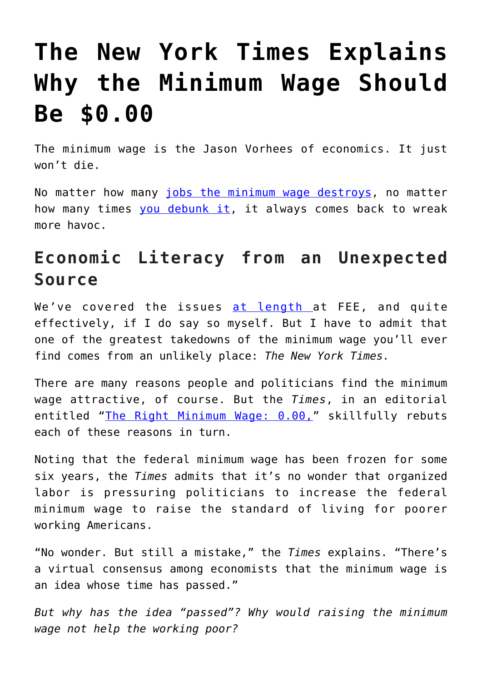## **[The New York Times Explains](https://intellectualtakeout.org/2018/09/the-new-york-times-explains-why-the-minimum-wage-should-be-0-00/) [Why the Minimum Wage Should](https://intellectualtakeout.org/2018/09/the-new-york-times-explains-why-the-minimum-wage-should-be-0-00/) [Be \\$0.00](https://intellectualtakeout.org/2018/09/the-new-york-times-explains-why-the-minimum-wage-should-be-0-00/)**

The minimum wage is the Jason Vorhees of economics. It just won't die.

No matter how many [jobs the minimum wage destroys](https://fee.org/articles/how-a-minimum-wage-hike-wiped-out-40-of-venezuelas-stores/), no matter how many times [you debunk it,](https://fee.org/articles/the-truth-about-the-minimum-wage/) it always comes back to wreak more havoc.

## **Economic Literacy from an Unexpected Source**

We've covered the issues [at length a](https://fee.org/search/?q=Minimum+Wage)t FEE, and quite effectively, if I do say so myself. But I have to admit that one of the greatest takedowns of the minimum wage you'll ever find comes from an unlikely place: *The New York Times.*

There are many reasons people and politicians find the minimum wage attractive, of course. But the *Times*, in an editorial entitled "[The Right Minimum Wage: 0.00,](https://www.nytimes.com/1987/01/14/opinion/the-right-minimum-wage-0.00.html)" skillfully rebuts each of these reasons in turn.

Noting that the federal minimum wage has been frozen for some six years, the *Times* admits that it's no wonder that organized labor is pressuring politicians to increase the federal minimum wage to raise the standard of living for poorer working Americans.

"No wonder. But still a mistake," the *Times* explains. "There's a virtual consensus among economists that the minimum wage is an idea whose time has passed."

*But why has the idea "passed"? Why would raising the minimum wage not help the working poor?*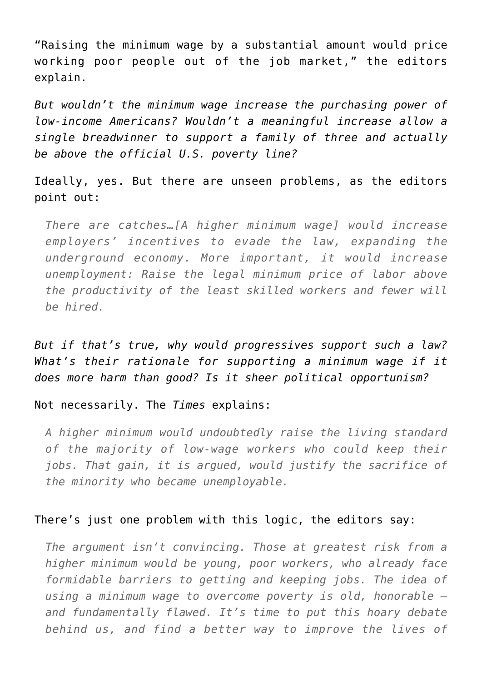"Raising the minimum wage by a substantial amount would price working poor people out of the job market," the editors explain.

*But wouldn't the minimum wage increase the purchasing power of low-income Americans? Wouldn't a meaningful increase allow a single breadwinner to support a family of three and actually be above the official U.S. poverty line?*

Ideally, yes. But there are unseen problems, as the editors point out:

*There are catches…[A higher minimum wage] would increase employers' incentives to evade the law, expanding the underground economy. More important, it would increase unemployment: Raise the legal minimum price of labor above the productivity of the least skilled workers and fewer will be hired.*

*But if that's true, why would progressives support such a law? What's their rationale for supporting a minimum wage if it does more harm than good? Is it sheer political opportunism?*

Not necessarily. The *Times* explains:

*A higher minimum would undoubtedly raise the living standard of the majority of low-wage workers who could keep their jobs. That gain, it is argued, would justify the sacrifice of the minority who became unemployable.*

## There's just one problem with this logic, the editors say:

*The argument isn't convincing. Those at greatest risk from a higher minimum would be young, poor workers, who already face formidable barriers to getting and keeping jobs. The idea of using a minimum wage to overcome poverty is old, honorable – and fundamentally flawed. It's time to put this hoary debate behind us, and find a better way to improve the lives of*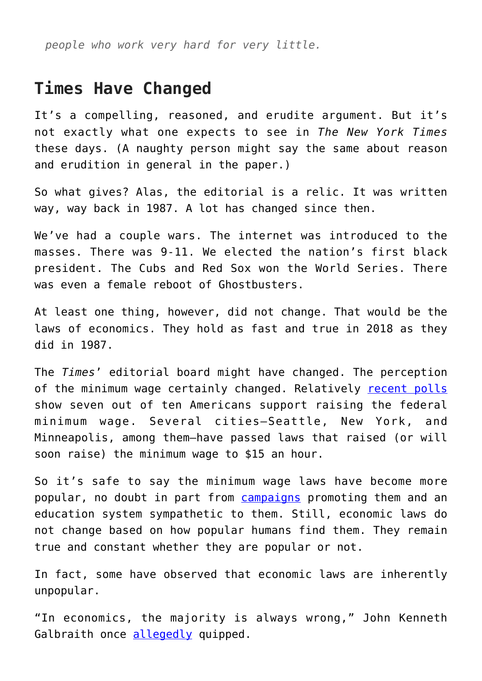*people who work very hard for very little.*

## **Times Have Changed**

It's a compelling, reasoned, and erudite argument. But it's not exactly what one expects to see in *The New York Times* these days. (A naughty person might say the same about reason and erudition in general in the paper.)

So what gives? Alas, the editorial is a relic. It was written way, way back in 1987. A lot has changed since then.

We've had a couple wars. The internet was introduced to the masses. There was 9-11. We elected the nation's first black president. The Cubs and Red Sox won the World Series. There was even a female reboot of Ghostbusters.

At least one thing, however, did not change. That would be the laws of economics. They hold as fast and true in 2018 as they did in 1987.

The *Times*' editorial board might have changed. The perception of the minimum wage certainly changed. Relatively [recent polls](https://news.gallup.com/poll/160913/back-raising-minimum-wage.aspx) show seven out of ten Americans support raising the federal minimum wage. Several cities—Seattle, New York, and Minneapolis, among them—have passed laws that raised (or will soon raise) the minimum wage to \$15 an hour.

So it's safe to say the minimum wage laws have become more popular, no doubt in part from [campaigns](http://15now.org/resources/15-reasons/) promoting them and an education system sympathetic to them. Still, economic laws do not change based on how popular humans find them. They remain true and constant whether they are popular or not.

In fact, some have observed that economic laws are inherently unpopular.

"In economics, the majority is always wrong," John Kenneth Galbraith once [allegedly](https://en.wikiquote.org/wiki/Talk:John_Kenneth_Galbraith) quipped.